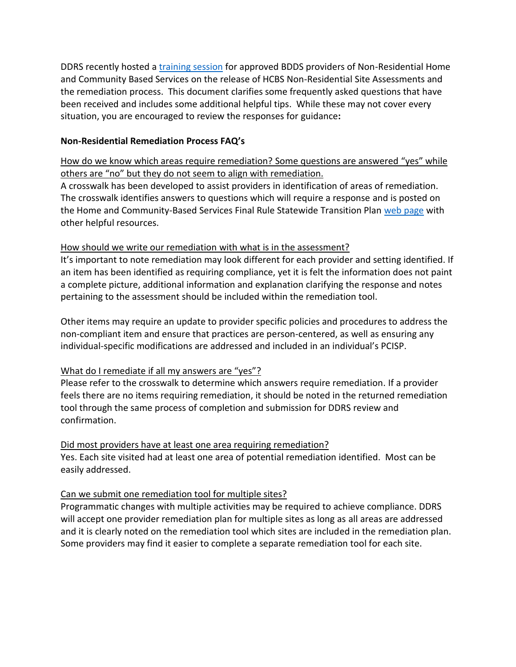DDRS recently hosted [a training session](https://indiana.adobeconnect.com/pqf7n3tkjpy8/?launcher=false&fcsContent=true&pbMode=normal) for approved BDDS providers of Non-Residential Home and Community Based Services on the release of HCBS Non-Residential Site Assessments and the remediation process. This document clarifies some frequently asked questions that have been received and includes some additional helpful tips. While these may not cover every situation, you are encouraged to review the responses for guidance**:**

### **Non-Residential Remediation Process FAQ's**

How do we know which areas require remediation? Some questions are answered "yes" while others are "no" but they do not seem to align with remediation.

A crosswalk has been developed to assist providers in identification of areas of remediation. The crosswalk identifies answers to questions which will require a response and is posted on the Home and Community-Based Services Final Rule Statewide Transition Plan [web page](https://www.in.gov/fssa/ddrs/4917.htm) with other helpful resources.

#### How should we write our remediation with what is in the assessment?

It's important to note remediation may look different for each provider and setting identified. If an item has been identified as requiring compliance, yet it is felt the information does not paint a complete picture, additional information and explanation clarifying the response and notes pertaining to the assessment should be included within the remediation tool.

Other items may require an update to provider specific policies and procedures to address the non-compliant item and ensure that practices are person-centered, as well as ensuring any individual-specific modifications are addressed and included in an individual's PCISP.

### What do I remediate if all my answers are "yes"?

Please refer to the crosswalk to determine which answers require remediation. If a provider feels there are no items requiring remediation, it should be noted in the returned remediation tool through the same process of completion and submission for DDRS review and confirmation.

### Did most providers have at least one area requiring remediation?

Yes. Each site visited had at least one area of potential remediation identified. Most can be easily addressed.

### Can we submit one remediation tool for multiple sites?

Programmatic changes with multiple activities may be required to achieve compliance. DDRS will accept one provider remediation plan for multiple sites as long as all areas are addressed and it is clearly noted on the remediation tool which sites are included in the remediation plan. Some providers may find it easier to complete a separate remediation tool for each site.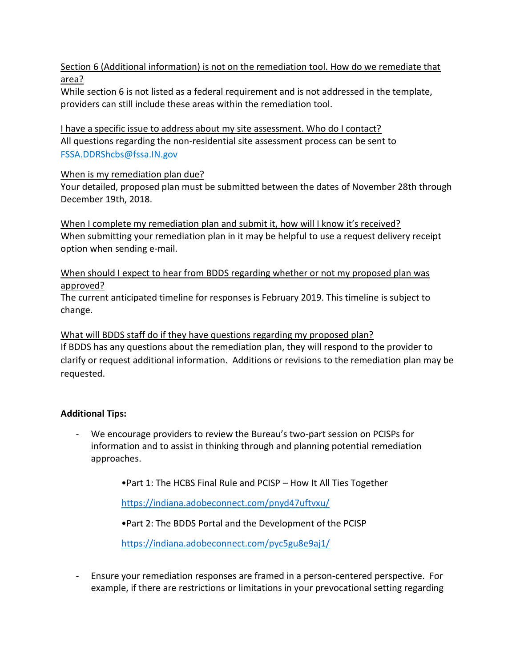# Section 6 (Additional information) is not on the remediation tool. How do we remediate that area?

While section 6 is not listed as a federal requirement and is not addressed in the template, providers can still include these areas within the remediation tool.

I have a specific issue to address about my site assessment. Who do I contact? All questions regarding the non-residential site assessment process can be sent to [FSSA.DDRShcbs@fssa.IN.gov](mailto:FSSA.DDRShcbs@fssa.IN.gov)

### When is my remediation plan due?

Your detailed, proposed plan must be submitted between the dates of November 28th through December 19th, 2018.

When I complete my remediation plan and submit it, how will I know it's received? When submitting your remediation plan in it may be helpful to use a request delivery receipt option when sending e-mail.

### When should I expect to hear from BDDS regarding whether or not my proposed plan was approved?

The current anticipated timeline for responses is February 2019. This timeline is subject to change.

What will BDDS staff do if they have questions regarding my proposed plan? If BDDS has any questions about the remediation plan, they will respond to the provider to clarify or request additional information. Additions or revisions to the remediation plan may be requested.

## **Additional Tips:**

We encourage providers to review the Bureau's two-part session on PCISPs for information and to assist in thinking through and planning potential remediation approaches.

•Part 1: The HCBS Final Rule and PCISP – How It All Ties Together

<https://indiana.adobeconnect.com/pnyd47uftvxu/>

•Part 2: The BDDS Portal and the Development of the PCISP

<https://indiana.adobeconnect.com/pyc5gu8e9aj1/>

- Ensure your remediation responses are framed in a person-centered perspective. For example, if there are restrictions or limitations in your prevocational setting regarding